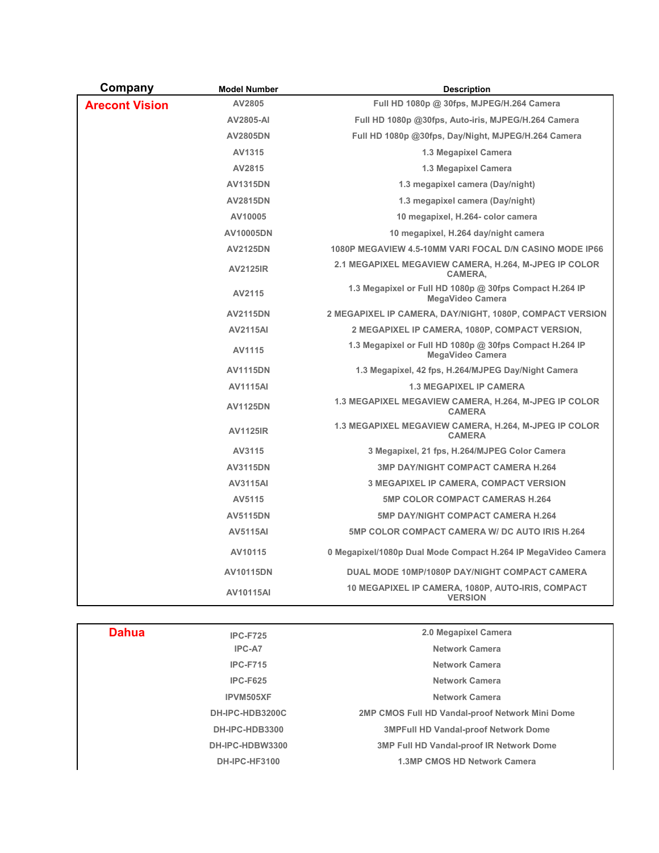| Company               | <b>Model Number</b> | <b>Description</b>                                                                   |
|-----------------------|---------------------|--------------------------------------------------------------------------------------|
| <b>Arecont Vision</b> | AV2805              | Full HD 1080p @ 30fps, MJPEG/H.264 Camera                                            |
|                       | <b>AV2805-AI</b>    | Full HD 1080p @30fps, Auto-iris, MJPEG/H.264 Camera                                  |
|                       | <b>AV2805DN</b>     | Full HD 1080p @30fps, Day/Night, MJPEG/H.264 Camera                                  |
|                       | AV1315              | 1.3 Megapixel Camera                                                                 |
|                       | AV2815              | 1.3 Megapixel Camera                                                                 |
|                       | <b>AV1315DN</b>     | 1.3 megapixel camera (Day/night)                                                     |
|                       | <b>AV2815DN</b>     | 1.3 megapixel camera (Day/night)                                                     |
|                       | AV10005             | 10 megapixel, H.264- color camera                                                    |
|                       | AV10005DN           | 10 megapixel, H.264 day/night camera                                                 |
|                       | <b>AV2125DN</b>     | 1080P MEGAVIEW 4.5-10MM VARI FOCAL D/N CASINO MODE IP66                              |
|                       | <b>AV2125IR</b>     | 2.1 MEGAPIXEL MEGAVIEW CAMERA, H.264, M-JPEG IP COLOR<br>CAMERA,                     |
|                       | AV2115              | 1.3 Megapixel or Full HD 1080p @ 30fps Compact H.264 IP<br><b>MegaVideo Camera</b>   |
|                       | <b>AV2115DN</b>     | 2 MEGAPIXEL IP CAMERA, DAY/NIGHT, 1080P, COMPACT VERSION                             |
|                       | <b>AV2115AI</b>     | 2 MEGAPIXEL IP CAMERA, 1080P, COMPACT VERSION,                                       |
|                       | AV1115              | 1.3 Megapixel or Full HD 1080p $@$ 30fps Compact H.264 IP<br><b>MegaVideo Camera</b> |
|                       | <b>AV1115DN</b>     | 1.3 Megapixel, 42 fps, H.264/MJPEG Day/Night Camera                                  |
|                       | <b>AV1115AI</b>     | <b>1.3 MEGAPIXEL IP CAMERA</b>                                                       |
|                       | <b>AV1125DN</b>     | 1.3 MEGAPIXEL MEGAVIEW CAMERA, H.264, M-JPEG IP COLOR<br><b>CAMERA</b>               |
|                       | <b>AV1125IR</b>     | 1.3 MEGAPIXEL MEGAVIEW CAMERA, H.264, M-JPEG IP COLOR<br><b>CAMERA</b>               |
|                       | AV3115              | 3 Megapixel, 21 fps, H.264/MJPEG Color Camera                                        |
|                       | <b>AV3115DN</b>     | <b>3MP DAY/NIGHT COMPACT CAMERA H.264</b>                                            |
|                       | <b>AV3115AI</b>     | <b>3 MEGAPIXEL IP CAMERA, COMPACT VERSION</b>                                        |
|                       | AV5115              | <b>5MP COLOR COMPACT CAMERAS H.264</b>                                               |
|                       | <b>AV5115DN</b>     | <b>5MP DAY/NIGHT COMPACT CAMERA H.264</b>                                            |
|                       | <b>AV5115AI</b>     | <b>5MP COLOR COMPACT CAMERA W/ DC AUTO IRIS H.264</b>                                |
|                       | AV10115             | 0 Megapixel/1080p Dual Mode Compact H.264 IP MegaVideo Camera                        |
|                       | AV10115DN           | DUAL MODE 10MP/1080P DAY/NIGHT COMPACT CAMERA                                        |
|                       | <b>AV10115AI</b>    | 10 MEGAPIXEL IP CAMERA, 1080P, AUTO-IRIS, COMPACT<br><b>VERSION</b>                  |

| <b>Dahua</b> | <b>IPC-F725</b>      | 2.0 Megapixel Camera                            |
|--------------|----------------------|-------------------------------------------------|
|              | IPC-A7               | Network Camera                                  |
|              | <b>IPC-F715</b>      | Network Camera                                  |
|              | <b>IPC-F625</b>      | Network Camera                                  |
|              | IPVM505XF            | Network Camera                                  |
|              | DH-IPC-HDB3200C      | 2MP CMOS Full HD Vandal-proof Network Mini Dome |
|              | DH-IPC-HDB3300       | <b>3MPFull HD Vandal-proof Network Dome</b>     |
|              | DH-IPC-HDBW3300      | <b>3MP Full HD Vandal-proof IR Network Dome</b> |
|              | <b>DH-IPC-HF3100</b> | <b>1.3MP CMOS HD Network Camera</b>             |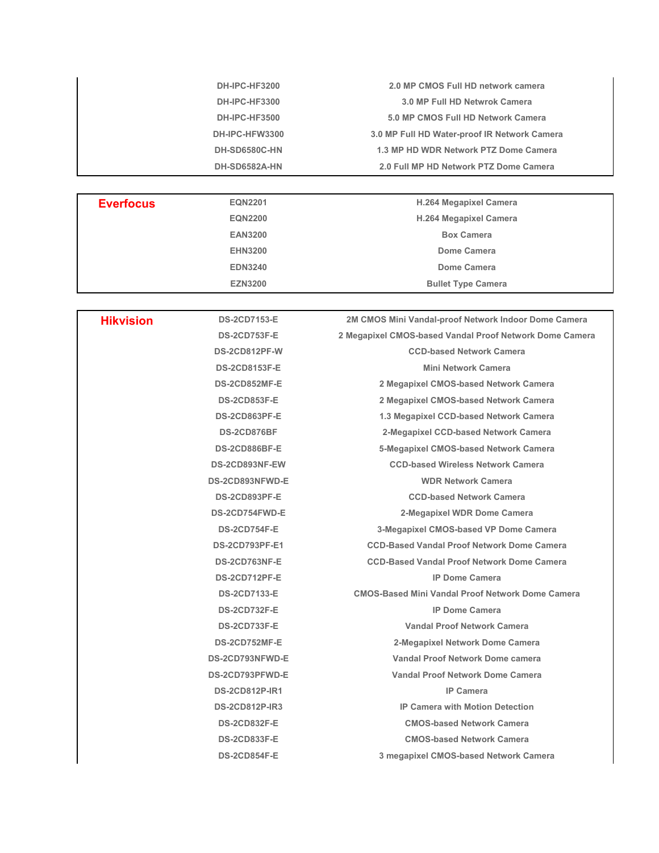| DH-IPC-HF3200  | 2.0 MP CMOS Full HD network camera           |
|----------------|----------------------------------------------|
| DH-IPC-HF3300  | 3.0 MP Full HD Netwrok Camera                |
| DH-IPC-HF3500  | 5.0 MP CMOS Full HD Network Camera           |
| DH-IPC-HFW3300 | 3.0 MP Full HD Water-proof IR Network Camera |
| DH-SD6580C-HN  | 1.3 MP HD WDR Network PTZ Dome Camera        |
| DH-SD6582A-HN  | 2.0 Full MP HD Network PTZ Dome Camera       |
|                |                                              |

| <b>Everfocus</b> | <b>EQN2201</b> | <b>H.264 Megapixel Camera</b> |
|------------------|----------------|-------------------------------|
|                  | <b>EQN2200</b> | <b>H.264 Megapixel Camera</b> |
|                  | <b>EAN3200</b> | <b>Box Camera</b>             |
|                  | <b>EHN3200</b> | Dome Camera                   |
|                  | <b>EDN3240</b> | Dome Camera                   |
|                  | <b>EZN3200</b> | <b>Bullet Type Camera</b>     |

| <b>Hikvision</b> | <b>DS-2CD7153-E</b>   | 2M CMOS Mini Vandal-proof Network Indoor Dome Camera    |
|------------------|-----------------------|---------------------------------------------------------|
|                  | <b>DS-2CD753F-E</b>   | 2 Megapixel CMOS-based Vandal Proof Network Dome Camera |
|                  | DS-2CD812PF-W         | <b>CCD-based Network Camera</b>                         |
|                  | <b>DS-2CD8153F-E</b>  | <b>Mini Network Camera</b>                              |
|                  | DS-2CD852MF-E         | 2 Megapixel CMOS-based Network Camera                   |
|                  | <b>DS-2CD853F-E</b>   | 2 Megapixel CMOS-based Network Camera                   |
|                  | DS-2CD863PF-E         | 1.3 Megapixel CCD-based Network Camera                  |
|                  | DS-2CD876BF           | 2-Megapixel CCD-based Network Camera                    |
|                  | DS-2CD886BF-E         | 5-Megapixel CMOS-based Network Camera                   |
|                  | DS-2CD893NF-EW        | <b>CCD-based Wireless Network Camera</b>                |
|                  | DS-2CD893NFWD-E       | <b>WDR Network Camera</b>                               |
|                  | DS-2CD893PF-E         | <b>CCD-based Network Camera</b>                         |
|                  | DS-2CD754FWD-E        | 2-Megapixel WDR Dome Camera                             |
|                  | <b>DS-2CD754F-E</b>   | 3-Megapixel CMOS-based VP Dome Camera                   |
|                  | <b>DS-2CD793PF-E1</b> | <b>CCD-Based Vandal Proof Network Dome Camera</b>       |
|                  | DS-2CD763NF-E         | <b>CCD-Based Vandal Proof Network Dome Camera</b>       |
|                  | DS-2CD712PF-E         | <b>IP Dome Camera</b>                                   |
|                  | <b>DS-2CD7133-E</b>   | <b>CMOS-Based Mini Vandal Proof Network Dome Camera</b> |
|                  | <b>DS-2CD732F-E</b>   | <b>IP Dome Camera</b>                                   |
|                  | <b>DS-2CD733F-E</b>   | Vandal Proof Network Camera                             |
|                  | DS-2CD752MF-E         | 2-Megapixel Network Dome Camera                         |
|                  | DS-2CD793NFWD-E       | Vandal Proof Network Dome camera                        |
|                  | DS-2CD793PFWD-E       | Vandal Proof Network Dome Camera                        |
|                  | <b>DS-2CD812P-IR1</b> | <b>IP Camera</b>                                        |
|                  | <b>DS-2CD812P-IR3</b> | <b>IP Camera with Motion Detection</b>                  |
|                  | <b>DS-2CD832F-E</b>   | <b>CMOS-based Network Camera</b>                        |
|                  | <b>DS-2CD833F-E</b>   | <b>CMOS-based Network Camera</b>                        |
|                  | <b>DS-2CD854F-E</b>   | 3 megapixel CMOS-based Network Camera                   |
|                  |                       |                                                         |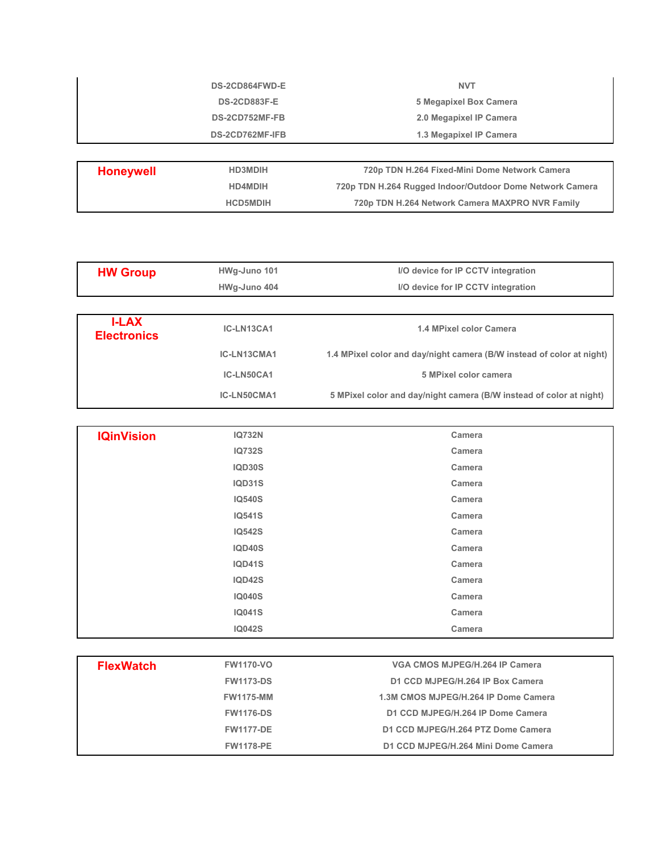| <b>DS-2CD864FWD-E</b> | <b>NVT</b>              |
|-----------------------|-------------------------|
| <b>DS-2CD883F-E</b>   | 5 Megapixel Box Camera  |
| DS-2CD752MF-FB        | 2.0 Megapixel IP Camera |
| DS-2CD762MF-IFB       | 1.3 Megapixel IP Camera |
|                       |                         |
|                       |                         |

| Honeywell | <b>HD3MDIH</b>  | 720p TDN H.264 Fixed-Mini Dome Network Camera            |
|-----------|-----------------|----------------------------------------------------------|
|           | <b>HD4MDIH</b>  | 720p TDN H.264 Rugged Indoor/Outdoor Dome Network Camera |
|           | <b>HCD5MDIH</b> | 720p TDN H.264 Network Camera MAXPRO NVR Family          |
|           |                 |                                                          |

| <b>HW Group</b>                    | HWg-Juno 101 | I/O device for IP CCTV integration                                    |
|------------------------------------|--------------|-----------------------------------------------------------------------|
|                                    | HWg-Juno 404 | I/O device for IP CCTV integration                                    |
|                                    |              |                                                                       |
| <b>I-LAX</b><br><b>Electronics</b> | IC-LN13CA1   | 1.4 MPixel color Camera                                               |
|                                    | IC-LN13CMA1  | 1.4 MPixel color and day/night camera (B/W instead of color at night) |
|                                    | IC-LN50CA1   | 5 MPixel color camera                                                 |
|                                    | IC-LN50CMA1  | 5 MPixel color and day/night camera (B/W instead of color at night)   |

| <b>IQinVision</b> | <b>IQ732N</b> | Camera |
|-------------------|---------------|--------|
|                   | <b>IQ732S</b> | Camera |
|                   | <b>IQD30S</b> | Camera |
|                   | <b>IQD31S</b> | Camera |
|                   | <b>IQ540S</b> | Camera |
|                   | <b>IQ541S</b> | Camera |
|                   | <b>IQ542S</b> | Camera |
|                   | <b>IQD40S</b> | Camera |
|                   | <b>IQD41S</b> | Camera |
|                   | <b>IQD42S</b> | Camera |
|                   | <b>IQ040S</b> | Camera |
|                   | <b>IQ041S</b> | Camera |
|                   | <b>IQ042S</b> | Camera |

| <b>FlexWatch</b> | <b>FW1170-VO</b> | VGA CMOS MJPEG/H.264 IP Camera       |
|------------------|------------------|--------------------------------------|
|                  | <b>FW1173-DS</b> | D1 CCD MJPEG/H.264 IP Box Camera     |
|                  | <b>FW1175-MM</b> | 1.3M CMOS MJPEG/H.264 IP Dome Camera |
|                  | <b>FW1176-DS</b> | D1 CCD MJPEG/H.264 IP Dome Camera    |
|                  | <b>FW1177-DE</b> | D1 CCD MJPEG/H.264 PTZ Dome Camera   |
|                  | <b>FW1178-PE</b> | D1 CCD MJPEG/H.264 Mini Dome Camera  |
|                  |                  |                                      |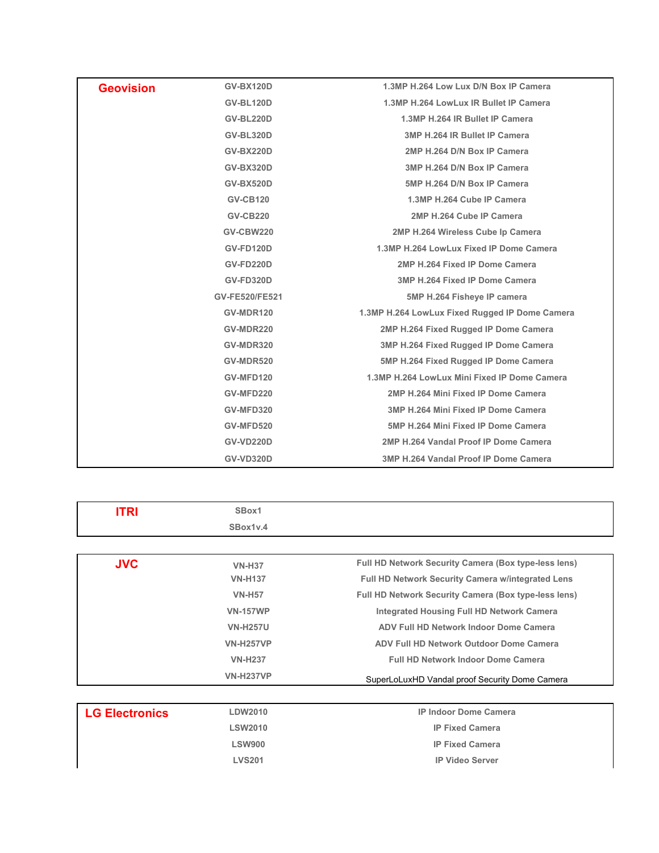| <b>Geovision</b> | <b>GV-BX120D</b>      | 1.3MP H.264 Low Lux D/N Box IP Camera          |
|------------------|-----------------------|------------------------------------------------|
|                  | <b>GV-BL120D</b>      | 1.3MP H.264 LowLux IR Bullet IP Camera         |
|                  | <b>GV-BL220D</b>      | 1.3MP H.264 IR Bullet IP Camera                |
|                  | <b>GV-BL320D</b>      | 3MP H.264 IR Bullet IP Camera                  |
|                  | <b>GV-BX220D</b>      | 2MP H.264 D/N Box IP Camera                    |
|                  | <b>GV-BX320D</b>      | 3MP H.264 D/N Box IP Camera                    |
|                  | <b>GV-BX520D</b>      | 5MP H.264 D/N Box IP Camera                    |
|                  | <b>GV-CB120</b>       | 1.3MP H.264 Cube IP Camera                     |
|                  | <b>GV-CB220</b>       | 2MP H.264 Cube IP Camera                       |
|                  | <b>GV-CBW220</b>      | 2MP H.264 Wireless Cube Ip Camera              |
|                  | <b>GV-FD120D</b>      | 1.3MP H.264 LowLux Fixed IP Dome Camera        |
|                  | GV-FD220D             | 2MP H.264 Fixed IP Dome Camera                 |
|                  | <b>GV-FD320D</b>      | 3MP H.264 Fixed IP Dome Camera                 |
|                  | <b>GV-FE520/FE521</b> | 5MP H.264 Fisheye IP camera                    |
|                  | GV-MDR120             | 1.3MP H.264 LowLux Fixed Rugged IP Dome Camera |
|                  | GV-MDR220             | 2MP H.264 Fixed Rugged IP Dome Camera          |
|                  | GV-MDR320             | 3MP H.264 Fixed Rugged IP Dome Camera          |
|                  | GV-MDR520             | 5MP H.264 Fixed Rugged IP Dome Camera          |
|                  | GV-MFD120             | 1.3MP H.264 LowLux Mini Fixed IP Dome Camera   |
|                  | GV-MFD220             | 2MP H.264 Mini Fixed IP Dome Camera            |
|                  | GV-MFD320             | 3MP H.264 Mini Fixed IP Dome Camera            |
|                  | <b>GV-MFD520</b>      | 5MP H.264 Mini Fixed IP Dome Camera            |
|                  | <b>GV-VD220D</b>      | 2MP H.264 Vandal Proof IP Dome Camera          |
|                  | <b>GV-VD320D</b>      | 3MP H.264 Vandal Proof IP Dome Camera          |
|                  |                       |                                                |

| <b>ITRI</b> | SBox1            |                                                          |
|-------------|------------------|----------------------------------------------------------|
|             | SBox1v.4         |                                                          |
|             |                  |                                                          |
| <b>JVC</b>  | <b>VN-H37</b>    | Full HD Network Security Camera (Box type-less lens)     |
|             | <b>VN-H137</b>   | <b>Full HD Network Security Camera w/integrated Lens</b> |
|             | <b>VN-H57</b>    | Full HD Network Security Camera (Box type-less lens)     |
|             | <b>VN-157WP</b>  | Integrated Housing Full HD Network Camera                |
|             | <b>VN-H257U</b>  | ADV Full HD Network Indoor Dome Camera                   |
|             | <b>VN-H257VP</b> | ADV Full HD Network Outdoor Dome Camera                  |
|             | <b>VN-H237</b>   | <b>Full HD Network Indoor Dome Camera</b>                |
|             | <b>VN-H237VP</b> | SuperLoLuxHD Vandal proof Security Dome Camera           |
|             |                  |                                                          |
|             |                  |                                                          |

| <b>LG Electronics</b> | LDW2010        | <b>IP Indoor Dome Camera</b> |
|-----------------------|----------------|------------------------------|
|                       | <b>LSW2010</b> | <b>IP Fixed Camera</b>       |
|                       | <b>LSW900</b>  | <b>IP Fixed Camera</b>       |
|                       | <b>LVS201</b>  | <b>IP Video Server</b>       |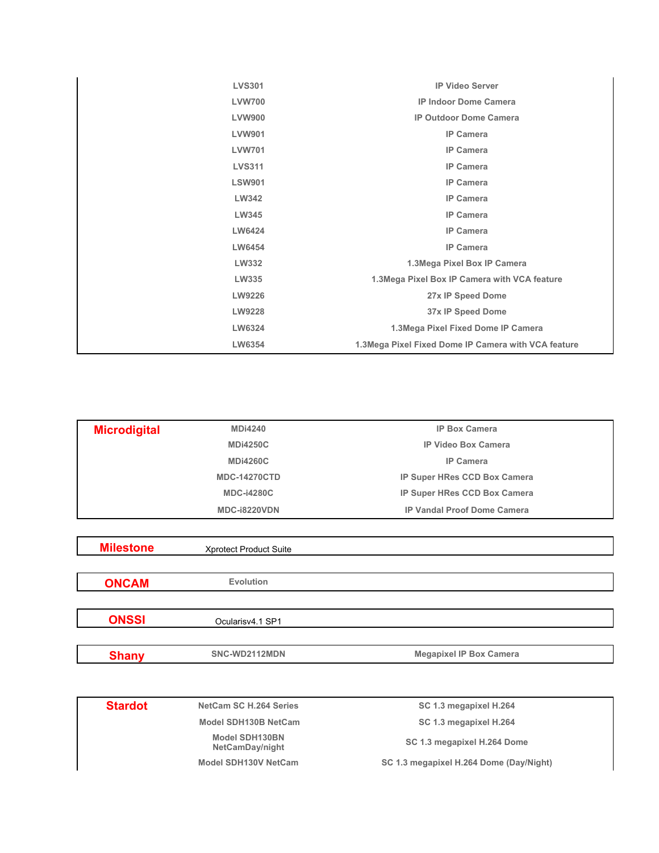| <b>LVS301</b> | <b>IP Video Server</b>                              |
|---------------|-----------------------------------------------------|
| <b>LVW700</b> | <b>IP Indoor Dome Camera</b>                        |
| <b>LVW900</b> | <b>IP Outdoor Dome Camera</b>                       |
| <b>LVW901</b> | <b>IP Camera</b>                                    |
| <b>LVW701</b> | <b>IP Camera</b>                                    |
| <b>LVS311</b> | <b>IP Camera</b>                                    |
| <b>LSW901</b> | <b>IP Camera</b>                                    |
| LW342         | <b>IP Camera</b>                                    |
| LW345         | <b>IP Camera</b>                                    |
| LW6424        | <b>IP Camera</b>                                    |
| LW6454        | <b>IP Camera</b>                                    |
| LW332         | 1.3Mega Pixel Box IP Camera                         |
| <b>LW335</b>  | 1.3Mega Pixel Box IP Camera with VCA feature        |
| LW9226        | 27x IP Speed Dome                                   |
| LW9228        | 37x IP Speed Dome                                   |
| LW6324        | 1.3Mega Pixel Fixed Dome IP Camera                  |
| LW6354        | 1.3Mega Pixel Fixed Dome IP Camera with VCA feature |
|               |                                                     |

| <b>Microdigital</b> | <b>MDi4240</b>      | <b>IP Box Camera</b>                |
|---------------------|---------------------|-------------------------------------|
|                     | <b>MDi4250C</b>     | <b>IP Video Box Camera</b>          |
|                     | <b>MDi4260C</b>     | <b>IP Camera</b>                    |
|                     | <b>MDC-14270CTD</b> | <b>IP Super HRes CCD Box Camera</b> |
|                     | <b>MDC-i4280C</b>   | <b>IP Super HRes CCD Box Camera</b> |
|                     | MDC-i8220VDN        | <b>IP Vandal Proof Dome Camera</b>  |

| <b>Milestone</b> | <b>Xprotect Product Suite</b> |                                |
|------------------|-------------------------------|--------------------------------|
|                  |                               |                                |
| <b>ONCAM</b>     | Evolution                     |                                |
|                  |                               |                                |
| <b>ONSSI</b>     | Ocularisv4.1 SP1              |                                |
|                  |                               |                                |
| <b>Shany</b>     | SNC-WD2112MDN                 | <b>Megapixel IP Box Camera</b> |
|                  |                               |                                |

Stardot NetCam SC H.264 Series SC 1.3 megapixel H.264 Model SDH130B NetCam SC 1.3 megapixel H.264  **Model SDH130BN SC 1.3 megapixel H.264 Dome** Model SDH130V NetCam SC 1.3 megapixel H.264 Dome (Day/Night)